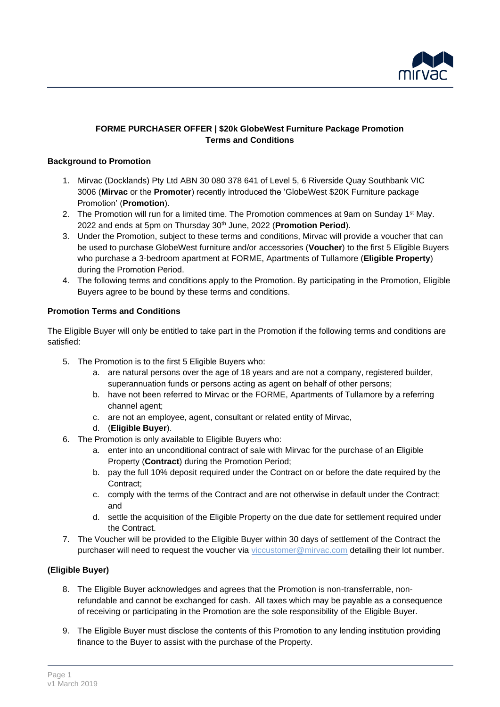

## **FORME PURCHASER OFFER | \$20k GlobeWest Furniture Package Promotion Terms and Conditions**

#### **Background to Promotion**

- 1. Mirvac (Docklands) Pty Ltd ABN 30 080 378 641 of Level 5, 6 Riverside Quay Southbank VIC 3006 (**Mirvac** or the **Promoter**) recently introduced the 'GlobeWest \$20K Furniture package Promotion' (**Promotion**).
- 2. The Promotion will run for a limited time. The Promotion commences at 9am on Sunday 1<sup>st</sup> May. 2022 and ends at 5pm on Thursday 30th June, 2022 (**Promotion Period**).
- 3. Under the Promotion, subject to these terms and conditions, Mirvac will provide a voucher that can be used to purchase GlobeWest furniture and/or accessories (**Voucher**) to the first 5 Eligible Buyers who purchase a 3-bedroom apartment at FORME, Apartments of Tullamore (**Eligible Property**) during the Promotion Period.
- 4. The following terms and conditions apply to the Promotion. By participating in the Promotion, Eligible Buyers agree to be bound by these terms and conditions.

## **Promotion Terms and Conditions**

The Eligible Buyer will only be entitled to take part in the Promotion if the following terms and conditions are satisfied:

- 5. The Promotion is to the first 5 Eligible Buyers who:
	- a. are natural persons over the age of 18 years and are not a company, registered builder, superannuation funds or persons acting as agent on behalf of other persons;
	- b. have not been referred to Mirvac or the FORME, Apartments of Tullamore by a referring channel agent;
	- c. are not an employee, agent, consultant or related entity of Mirvac,
	- d. (**Eligible Buyer**).
- 6. The Promotion is only available to Eligible Buyers who:
	- a. enter into an unconditional contract of sale with Mirvac for the purchase of an Eligible Property (**Contract**) during the Promotion Period;
	- b. pay the full 10% deposit required under the Contract on or before the date required by the Contract;
	- c. comply with the terms of the Contract and are not otherwise in default under the Contract; and
	- d. settle the acquisition of the Eligible Property on the due date for settlement required under the Contract.
- 7. The Voucher will be provided to the Eligible Buyer within 30 days of settlement of the Contract the purchaser will need to request the voucher via [viccustomer@mirvac.com](mailto:viccustomer@mirvac.com) detailing their lot number.

# **(Eligible Buyer)**

- 8. The Eligible Buyer acknowledges and agrees that the Promotion is non-transferrable, nonrefundable and cannot be exchanged for cash. All taxes which may be payable as a consequence of receiving or participating in the Promotion are the sole responsibility of the Eligible Buyer.
- 9. The Eligible Buyer must disclose the contents of this Promotion to any lending institution providing finance to the Buyer to assist with the purchase of the Property.